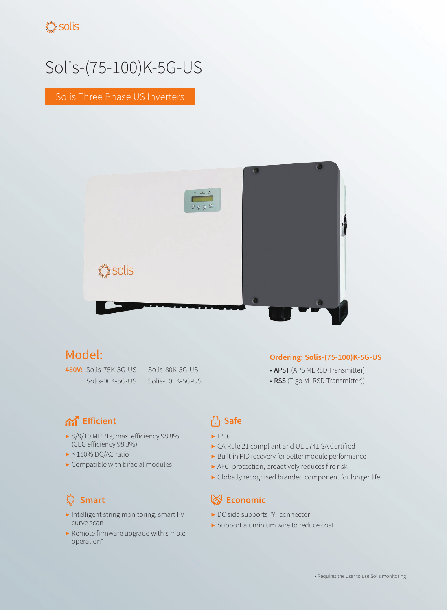# Solis-(75-100)K-5G-US

Solis Three Phase US Inverters



## Model:

**480V:** Solis-75K-5G-US Solis-80K-5G-US

Solis-90K-5G-US Solis-100K-5G-US

## **A** Efficient **C** Safe

- ▶ 8/9/10 MPPTs, max. efficiency 98.8% (CEC efficiency 98.3%)
- $\blacktriangleright$  > 150% DC/AC ratio
- $\blacktriangleright$  Compatible with bifacial modules

## ٠Q

- ▶ Intelligent string monitoring, smart I-V curve scan
- ▶ Remote firmware upgrade with simple operation\*

### **Ordering: Solis-(75-100)K-5G-US**

- APST (APS MLRSD Transmitter)
- RSS (Tigo MLRSD Transmitter))

- ▶ IP66
- ▶ CA Rule 21 compliant and UL 1741 SA Certified
- ▶ Built-in PID recovery for better module performance
- ▶ AFCI protection, proactively reduces fire risk
- ▶ Globally recognised branded component for longer life

## **Smart Example 2018 Example 2019 Economic**

- ▶ DC side supports "Y" connector
- ▶ Support aluminium wire to reduce cost